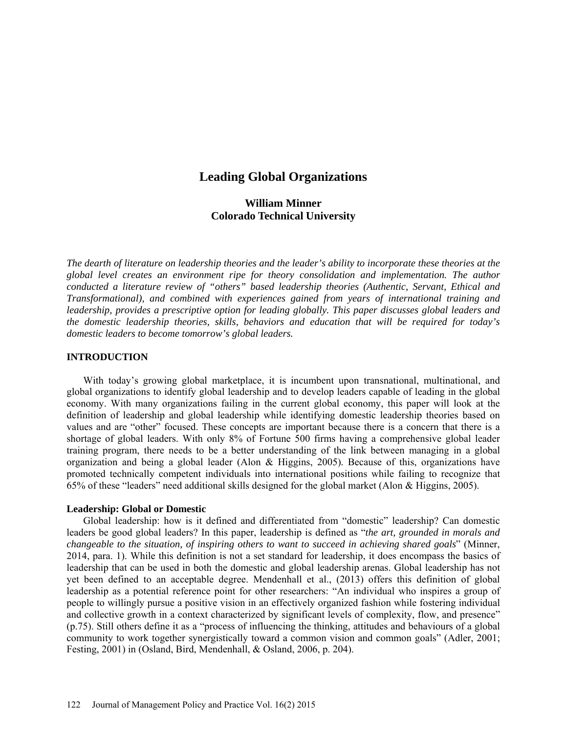# **Leading Global Organizations**

## **William Minner Colorado Technical University**

*The dearth of literature on leadership theories and the leader's ability to incorporate these theories at the global level creates an environment ripe for theory consolidation and implementation. The author conducted a literature review of "others" based leadership theories (Authentic, Servant, Ethical and Transformational), and combined with experiences gained from years of international training and leadership, provides a prescriptive option for leading globally. This paper discusses global leaders and the domestic leadership theories, skills, behaviors and education that will be required for today's domestic leaders to become tomorrow's global leaders.*

## **INTRODUCTION**

With today's growing global marketplace, it is incumbent upon transnational, multinational, and global organizations to identify global leadership and to develop leaders capable of leading in the global economy. With many organizations failing in the current global economy, this paper will look at the definition of leadership and global leadership while identifying domestic leadership theories based on values and are "other" focused. These concepts are important because there is a concern that there is a shortage of global leaders. With only 8% of Fortune 500 firms having a comprehensive global leader training program, there needs to be a better understanding of the link between managing in a global organization and being a global leader (Alon & Higgins, 2005). Because of this, organizations have promoted technically competent individuals into international positions while failing to recognize that 65% of these "leaders" need additional skills designed for the global market (Alon & Higgins, 2005).

## **Leadership: Global or Domestic**

Global leadership: how is it defined and differentiated from "domestic" leadership? Can domestic leaders be good global leaders? In this paper, leadership is defined as "*the art, grounded in morals and changeable to the situation, of inspiring others to want to succeed in achieving shared goals*" (Minner, 2014, para. 1). While this definition is not a set standard for leadership, it does encompass the basics of leadership that can be used in both the domestic and global leadership arenas. Global leadership has not yet been defined to an acceptable degree. Mendenhall et al., (2013) offers this definition of global leadership as a potential reference point for other researchers: "An individual who inspires a group of people to willingly pursue a positive vision in an effectively organized fashion while fostering individual and collective growth in a context characterized by significant levels of complexity, flow, and presence" (p.75). Still others define it as a "process of influencing the thinking, attitudes and behaviours of a global community to work together synergistically toward a common vision and common goals" (Adler, 2001; Festing, 2001) in (Osland, Bird, Mendenhall, & Osland, 2006, p. 204).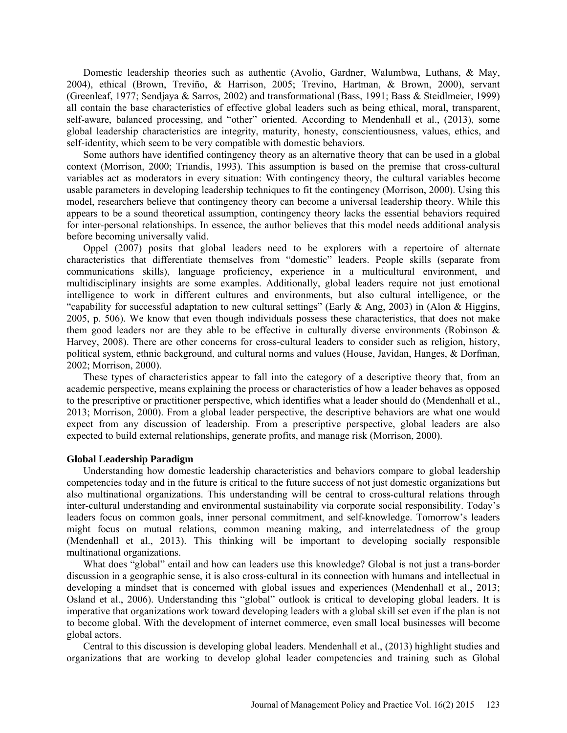Domestic leadership theories such as authentic (Avolio, Gardner, Walumbwa, Luthans, & May, 2004), ethical (Brown, Treviño, & Harrison, 2005; Trevino, Hartman, & Brown, 2000), servant (Greenleaf, 1977; Sendjaya & Sarros, 2002) and transformational (Bass, 1991; Bass & Steidlmeier, 1999) all contain the base characteristics of effective global leaders such as being ethical, moral, transparent, self-aware, balanced processing, and "other" oriented. According to Mendenhall et al., (2013), some global leadership characteristics are integrity, maturity, honesty, conscientiousness, values, ethics, and self-identity, which seem to be very compatible with domestic behaviors.

Some authors have identified contingency theory as an alternative theory that can be used in a global context (Morrison, 2000; Triandis, 1993). This assumption is based on the premise that cross-cultural variables act as moderators in every situation: With contingency theory, the cultural variables become usable parameters in developing leadership techniques to fit the contingency (Morrison, 2000). Using this model, researchers believe that contingency theory can become a universal leadership theory. While this appears to be a sound theoretical assumption, contingency theory lacks the essential behaviors required for inter-personal relationships. In essence, the author believes that this model needs additional analysis before becoming universally valid.

Oppel (2007) posits that global leaders need to be explorers with a repertoire of alternate characteristics that differentiate themselves from "domestic" leaders. People skills (separate from communications skills), language proficiency, experience in a multicultural environment, and multidisciplinary insights are some examples. Additionally, global leaders require not just emotional intelligence to work in different cultures and environments, but also cultural intelligence, or the "capability for successful adaptation to new cultural settings" (Early & Ang, 2003) in (Alon & Higgins, 2005, p. 506). We know that even though individuals possess these characteristics, that does not make them good leaders nor are they able to be effective in culturally diverse environments (Robinson & Harvey, 2008). There are other concerns for cross-cultural leaders to consider such as religion, history, political system, ethnic background, and cultural norms and values (House, Javidan, Hanges, & Dorfman, 2002; Morrison, 2000).

These types of characteristics appear to fall into the category of a descriptive theory that, from an academic perspective, means explaining the process or characteristics of how a leader behaves as opposed to the prescriptive or practitioner perspective, which identifies what a leader should do (Mendenhall et al., 2013; Morrison, 2000). From a global leader perspective, the descriptive behaviors are what one would expect from any discussion of leadership. From a prescriptive perspective, global leaders are also expected to build external relationships, generate profits, and manage risk (Morrison, 2000).

#### **Global Leadership Paradigm**

Understanding how domestic leadership characteristics and behaviors compare to global leadership competencies today and in the future is critical to the future success of not just domestic organizations but also multinational organizations. This understanding will be central to cross-cultural relations through inter-cultural understanding and environmental sustainability via corporate social responsibility. Today's leaders focus on common goals, inner personal commitment, and self-knowledge. Tomorrow's leaders might focus on mutual relations, common meaning making, and interrelatedness of the group (Mendenhall et al., 2013). This thinking will be important to developing socially responsible multinational organizations.

What does "global" entail and how can leaders use this knowledge? Global is not just a trans-border discussion in a geographic sense, it is also cross-cultural in its connection with humans and intellectual in developing a mindset that is concerned with global issues and experiences (Mendenhall et al., 2013; Osland et al., 2006). Understanding this "global" outlook is critical to developing global leaders. It is imperative that organizations work toward developing leaders with a global skill set even if the plan is not to become global. With the development of internet commerce, even small local businesses will become global actors.

Central to this discussion is developing global leaders. Mendenhall et al., (2013) highlight studies and organizations that are working to develop global leader competencies and training such as Global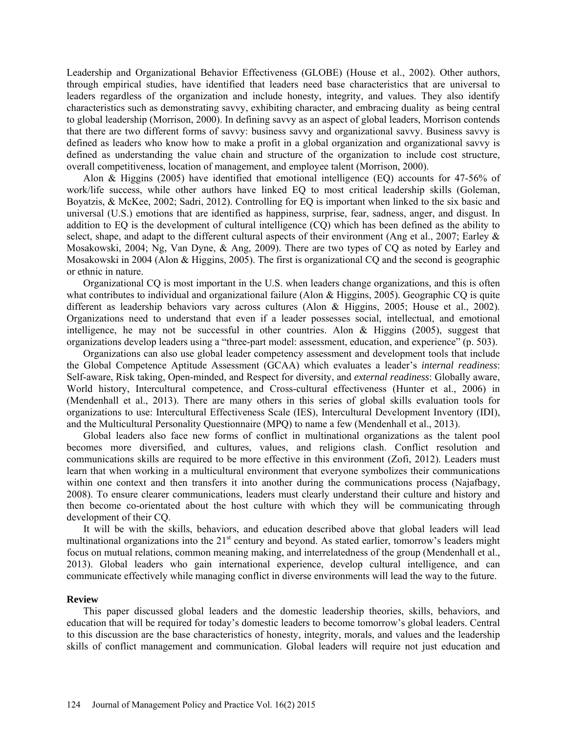Leadership and Organizational Behavior Effectiveness (GLOBE) (House et al., 2002). Other authors, through empirical studies, have identified that leaders need base characteristics that are universal to leaders regardless of the organization and include honesty, integrity, and values. They also identify characteristics such as demonstrating savvy, exhibiting character, and embracing duality as being central to global leadership (Morrison, 2000). In defining savvy as an aspect of global leaders, Morrison contends that there are two different forms of savvy: business savvy and organizational savvy. Business savvy is defined as leaders who know how to make a profit in a global organization and organizational savvy is defined as understanding the value chain and structure of the organization to include cost structure, overall competitiveness, location of management, and employee talent (Morrison, 2000).

Alon & Higgins (2005) have identified that emotional intelligence (EQ) accounts for 47-56% of work/life success, while other authors have linked EQ to most critical leadership skills (Goleman, Boyatzis, & McKee, 2002; Sadri, 2012). Controlling for EQ is important when linked to the six basic and universal (U.S.) emotions that are identified as happiness, surprise, fear, sadness, anger, and disgust. In addition to EQ is the development of cultural intelligence (CQ) which has been defined as the ability to select, shape, and adapt to the different cultural aspects of their environment (Ang et al., 2007; Earley & Mosakowski, 2004; Ng, Van Dyne, & Ang, 2009). There are two types of CQ as noted by Earley and Mosakowski in 2004 (Alon & Higgins, 2005). The first is organizational CQ and the second is geographic or ethnic in nature.

Organizational CQ is most important in the U.S. when leaders change organizations, and this is often what contributes to individual and organizational failure (Alon & Higgins, 2005). Geographic CQ is quite different as leadership behaviors vary across cultures (Alon & Higgins, 2005; House et al., 2002). Organizations need to understand that even if a leader possesses social, intellectual, and emotional intelligence, he may not be successful in other countries. Alon  $\&$  Higgins (2005), suggest that organizations develop leaders using a "three-part model: assessment, education, and experience" (p. 503).

Organizations can also use global leader competency assessment and development tools that include the Global Competence Aptitude Assessment (GCAA) which evaluates a leader's *internal readiness*: Self-aware, Risk taking, Open-minded, and Respect for diversity, and *external readiness*: Globally aware, World history, Intercultural competence, and Cross-cultural effectiveness (Hunter et al., 2006) in (Mendenhall et al., 2013). There are many others in this series of global skills evaluation tools for organizations to use: Intercultural Effectiveness Scale (IES), Intercultural Development Inventory (IDI), and the Multicultural Personality Questionnaire (MPQ) to name a few (Mendenhall et al., 2013).

Global leaders also face new forms of conflict in multinational organizations as the talent pool becomes more diversified, and cultures, values, and religions clash. Conflict resolution and communications skills are required to be more effective in this environment (Zofi, 2012). Leaders must learn that when working in a multicultural environment that everyone symbolizes their communications within one context and then transfers it into another during the communications process (Najafbagy, 2008). To ensure clearer communications, leaders must clearly understand their culture and history and then become co-orientated about the host culture with which they will be communicating through development of their CQ.

It will be with the skills, behaviors, and education described above that global leaders will lead multinational organizations into the  $21<sup>st</sup>$  century and beyond. As stated earlier, tomorrow's leaders might focus on mutual relations, common meaning making, and interrelatedness of the group (Mendenhall et al., 2013). Global leaders who gain international experience, develop cultural intelligence, and can communicate effectively while managing conflict in diverse environments will lead the way to the future.

#### **Review**

This paper discussed global leaders and the domestic leadership theories, skills, behaviors, and education that will be required for today's domestic leaders to become tomorrow's global leaders. Central to this discussion are the base characteristics of honesty, integrity, morals, and values and the leadership skills of conflict management and communication. Global leaders will require not just education and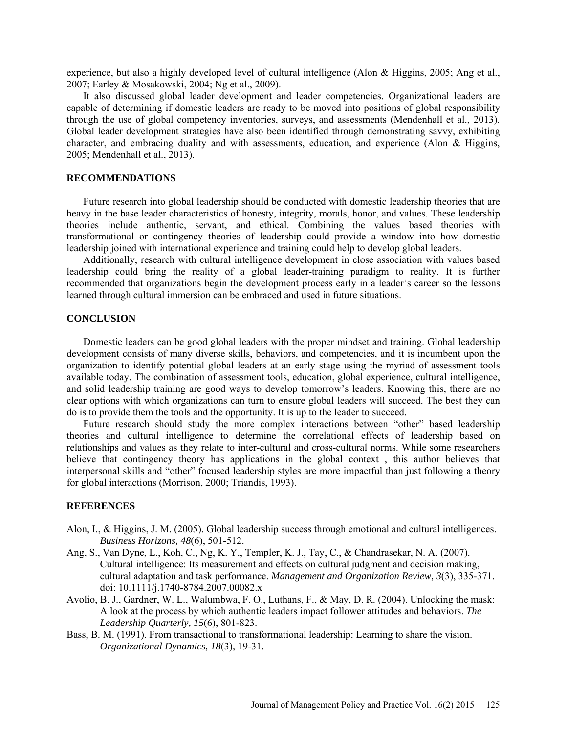experience, but also a highly developed level of cultural intelligence (Alon & Higgins, 2005; Ang et al., 2007; Earley & Mosakowski, 2004; Ng et al., 2009).

It also discussed global leader development and leader competencies. Organizational leaders are capable of determining if domestic leaders are ready to be moved into positions of global responsibility through the use of global competency inventories, surveys, and assessments (Mendenhall et al., 2013). Global leader development strategies have also been identified through demonstrating savvy, exhibiting character, and embracing duality and with assessments, education, and experience (Alon & Higgins, 2005; Mendenhall et al., 2013).

## **RECOMMENDATIONS**

Future research into global leadership should be conducted with domestic leadership theories that are heavy in the base leader characteristics of honesty, integrity, morals, honor, and values. These leadership theories include authentic, servant, and ethical. Combining the values based theories with transformational or contingency theories of leadership could provide a window into how domestic leadership joined with international experience and training could help to develop global leaders.

Additionally, research with cultural intelligence development in close association with values based leadership could bring the reality of a global leader-training paradigm to reality. It is further recommended that organizations begin the development process early in a leader's career so the lessons learned through cultural immersion can be embraced and used in future situations.

#### **CONCLUSION**

Domestic leaders can be good global leaders with the proper mindset and training. Global leadership development consists of many diverse skills, behaviors, and competencies, and it is incumbent upon the organization to identify potential global leaders at an early stage using the myriad of assessment tools available today. The combination of assessment tools, education, global experience, cultural intelligence, and solid leadership training are good ways to develop tomorrow's leaders. Knowing this, there are no clear options with which organizations can turn to ensure global leaders will succeed. The best they can do is to provide them the tools and the opportunity. It is up to the leader to succeed.

Future research should study the more complex interactions between "other" based leadership theories and cultural intelligence to determine the correlational effects of leadership based on relationships and values as they relate to inter-cultural and cross-cultural norms. While some researchers believe that contingency theory has applications in the global context , this author believes that interpersonal skills and "other" focused leadership styles are more impactful than just following a theory for global interactions (Morrison, 2000; Triandis, 1993).

## **REFERENCES**

- Alon, I., & Higgins, J. M. (2005). Global leadership success through emotional and cultural intelligences. *Business Horizons, 48*(6), 501-512.
- Ang, S., Van Dyne, L., Koh, C., Ng, K. Y., Templer, K. J., Tay, C., & Chandrasekar, N. A. (2007). Cultural intelligence: Its measurement and effects on cultural judgment and decision making, cultural adaptation and task performance. *Management and Organization Review, 3*(3), 335-371. doi: 10.1111/j.1740-8784.2007.00082.x
- Avolio, B. J., Gardner, W. L., Walumbwa, F. O., Luthans, F., & May, D. R. (2004). Unlocking the mask: A look at the process by which authentic leaders impact follower attitudes and behaviors. *The Leadership Quarterly, 15*(6), 801-823.
- Bass, B. M. (1991). From transactional to transformational leadership: Learning to share the vision. *Organizational Dynamics, 18*(3), 19-31.